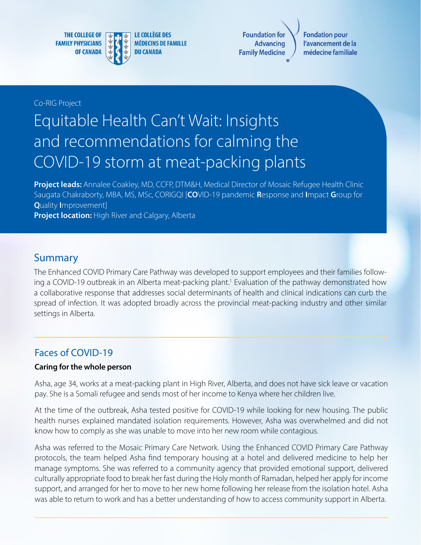**THE COLLEGE OF FAMILY PHYSICIANS OF CANADA** 



**Foundation fo Advancing Family Medicine** 

**Fondation pour** l'avancement de la médecine familiale

#### Co-RIG Project

# Equitable Health Can't Wait: Insights and recommendations for calming the COVID-19 storm at meat-packing plants

**Project leads:** Annalee Coakley, MD, CCFP, DTM&H, Medical Director of Mosaic Refugee Health Clinic Saugata Chakraborty, MBA, MS, MSc, CORIGQI [**CO**VID-19 pandemic **R**esponse and **I**mpact **G**roup for **Q**uality **I**mprovement] **Project location:** High River and Calgary, Alberta

### Summary

The Enhanced COVID Primary Care Pathway was developed to support employees and their families following a COVID-19 outbreak in an Alberta meat-packing plant.<sup>1</sup> Evaluation of the pathway demonstrated how a collaborative response that addresses social determinants of health and clinical indications can curb the spread of infection. It was adopted broadly across the provincial meat-packing industry and other similar settings in Alberta.

### Faces of COVID-19

#### **Caring for the whole person**

Asha, age 34, works at a meat-packing plant in High River, Alberta, and does not have sick leave or vacation pay. She is a Somali refugee and sends most of her income to Kenya where her children live.

At the time of the outbreak, Asha tested positive for COVID-19 while looking for new housing. The public health nurses explained mandated isolation requirements. However, Asha was overwhelmed and did not know how to comply as she was unable to move into her new room while contagious.

Asha was referred to the Mosaic Primary Care Network. Using the Enhanced COVID Primary Care Pathway protocols, the team helped Asha find temporary housing at a hotel and delivered medicine to help her manage symptoms. She was referred to a community agency that provided emotional support, delivered culturally appropriate food to break her fast during the Holy month of Ramadan, helped her apply for income support, and arranged for her to move to her new home following her release from the isolation hotel. Asha was able to return to work and has a better understanding of how to access community support in Alberta.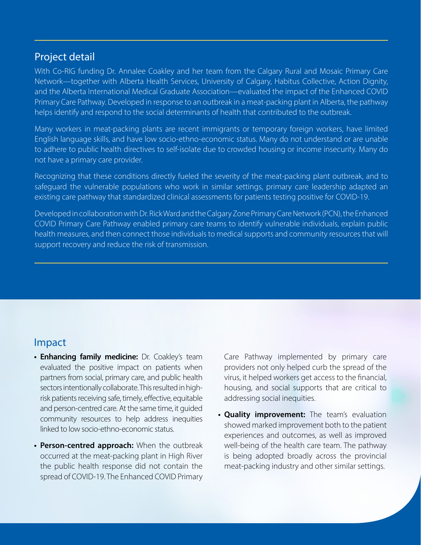## Project detail

With Co-RIG funding Dr. Annalee Coakley and her team from the Calgary Rural and Mosaic Primary Care Network—together with Alberta Health Services, University of Calgary, Habitus Collective, Action Dignity, and the Alberta International Medical Graduate Association—evaluated the impact of the Enhanced COVID Primary Care Pathway. Developed in response to an outbreak in a meat-packing plant in Alberta, the pathway helps identify and respond to the social determinants of health that contributed to the outbreak.

Many workers in meat-packing plants are recent immigrants or temporary foreign workers, have limited English language skills, and have low socio-ethno-economic status. Many do not understand or are unable to adhere to public health directives to self-isolate due to crowded housing or income insecurity. Many do not have a primary care provider.

Recognizing that these conditions directly fueled the severity of the meat-packing plant outbreak, and to safeguard the vulnerable populations who work in similar settings, primary care leadership adapted an existing care pathway that standardized clinical assessments for patients testing positive for COVID-19.

Developed in collaboration with Dr. Rick Ward and the Calgary Zone Primary Care Network (PCN), the Enhanced COVID Primary Care Pathway enabled primary care teams to identify vulnerable individuals, explain public health measures, and then connect those individuals to medical supports and community resources that will support recovery and reduce the risk of transmission.

# Impact

- **• Enhancing family medicine:** Dr. Coakley's team evaluated the positive impact on patients when partners from social, primary care, and public health sectors intentionally collaborate. This resulted in highrisk patients receiving safe, timely, effective, equitable and person-centred care. At the same time, it guided community resources to help address inequities linked to low socio-ethno-economic status.
- **• Person-centred approach:** When the outbreak occurred at the meat-packing plant in High River the public health response did not contain the spread of COVID-19. The Enhanced COVID Primary

Care Pathway implemented by primary care providers not only helped curb the spread of the virus, it helped workers get access to the financial, housing, and social supports that are critical to addressing social inequities.

**• Quality improvement:** The team's evaluation showed marked improvement both to the patient experiences and outcomes, as well as improved well-being of the health care team. The pathway is being adopted broadly across the provincial meat-packing industry and other similar settings.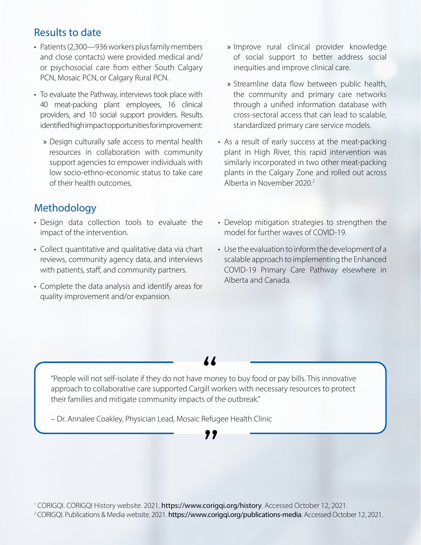# Results to date

- Patients (2,300—936 workers plus family members and close contacts) were provided medical and/ or psychosocial care from either South Calgary PCN, Mosaic PCN, or Calgary Rural PCN.
- To evaluate the Pathway, interviews took place with 40 meat-packing plant employees, 16 clinical providers, and 10 social support providers. Results identified high impact opportunities for improvement:
	- » Design culturally safe access to mental health resources in collaboration with community support agencies to empower individuals with low socio-ethno-economic status to take care of their health outcomes.
- Methodology
- Design data collection tools to evaluate the impact of the intervention.
- Collect quantitative and qualitative data via chart reviews, community agency data, and interviews with patients, staff, and community partners.
- Complete the data analysis and identify areas for quality improvement and/or expansion.
- » Improve rural clinical provider knowledge of social support to better address social inequities and improve clinical care.
- » Streamline data flow between public health, the community and primary care networks through a unified information database with cross-sectoral access that can lead to scalable, standardized primary care service models.
- As a result of early success at the meat-packing plant in High River, this rapid intervention was similarly incorporated in two other meat-packing plants in the Calgary Zone and rolled out across Alberta in November 2020.2
- Develop mitigation strategies to strengthen the model for further waves of COVID-19.
- Use the evaluation to inform the development of a scalable approach to implementing the Enhanced COVID-19 Primary Care Pathway elsewhere in Alberta and Canada.

,,

"People will not self-isolate if they do not have money to buy food or pay bills. This innovative approach to collaborative care supported Cargill workers with necessary resources to protect<br>approach to collaborative care supported Cargill workers with necessary resources to protect their families and mitigate community impacts of the outbreak."

– Dr. Annalee Coakley, Physician Lead, Mosaic Refugee Health Clinic

<sup>1</sup> CORIGQI. CORIGQI History website. 2021. https://www.corigqi.org/history. Accessed October 12, 2021. <sup>2</sup> CORIGQI. Publications & Media website. 2021. https://www.corigqi.org/publications-media. Accessed October 12, 2021.